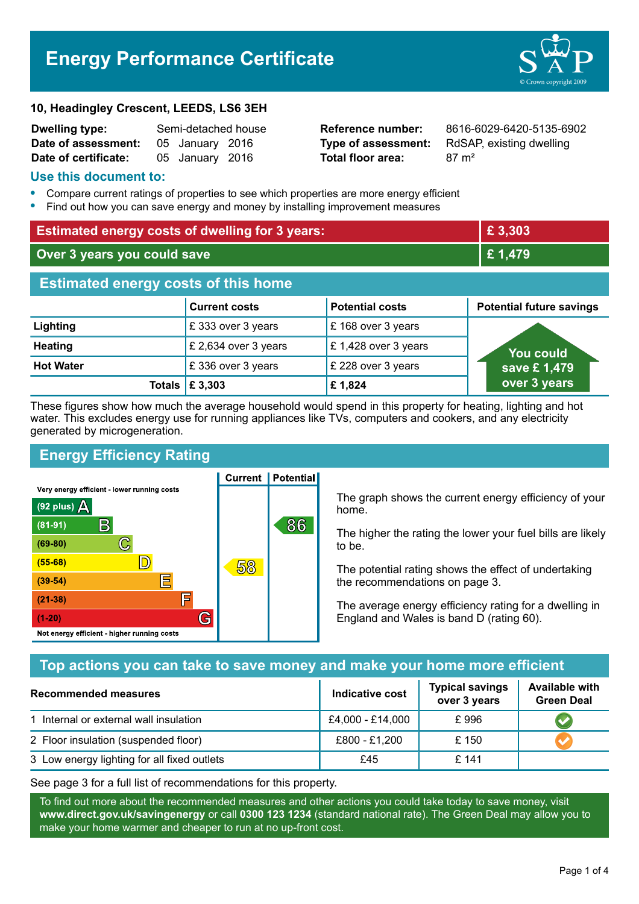# **Energy Performance Certificate**

#### **10, Headingley Crescent, LEEDS, LS6 3EH**

| <b>Dwelling type:</b> | Semi-detached house |                 |  |
|-----------------------|---------------------|-----------------|--|
| Date of assessment:   |                     | 05 January 2016 |  |
| Date of certificate:  |                     | 05 January 2016 |  |

**Total floor area:** 87 m<sup>2</sup>

**Reference number:** 8616-6029-6420-5135-6902 **Type of assessment:** RdSAP, existing dwelling

## **Use this document to:**

- **•** Compare current ratings of properties to see which properties are more energy efficient
- **•** Find out how you can save energy and money by installing improvement measures

| <b>Estimated energy costs of dwelling for 3 years:</b> |                      | £3,303                 |                                 |  |
|--------------------------------------------------------|----------------------|------------------------|---------------------------------|--|
| Over 3 years you could save                            |                      | £1,479                 |                                 |  |
| <b>Estimated energy costs of this home</b>             |                      |                        |                                 |  |
|                                                        | <b>Current costs</b> | <b>Potential costs</b> | <b>Potential future savings</b> |  |
| Lighting                                               | £333 over 3 years    | £168 over 3 years      |                                 |  |
| <b>Heating</b>                                         | £ 2,634 over 3 years | £1,428 over 3 years    | You could                       |  |
| <b>Hot Water</b>                                       | £336 over 3 years    | £ 228 over 3 years     | save £1,479                     |  |
| Totals                                                 | £ 3,303              | £1,824                 | over 3 years                    |  |

These figures show how much the average household would spend in this property for heating, lighting and hot water. This excludes energy use for running appliances like TVs, computers and cookers, and any electricity generated by microgeneration.

**Current | Potential** 

# **Energy Efficiency Rating**

Very energy efficient - lower running costs



The graph shows the current energy efficiency of your home.

The higher the rating the lower your fuel bills are likely to be.

The potential rating shows the effect of undertaking the recommendations on page 3.

The average energy efficiency rating for a dwelling in England and Wales is band D (rating 60).

# **Top actions you can take to save money and make your home more efficient**

| <b>Recommended measures</b>                 | <b>Indicative cost</b> | <b>Typical savings</b><br>over 3 years | <b>Available with</b><br><b>Green Deal</b> |
|---------------------------------------------|------------------------|----------------------------------------|--------------------------------------------|
| 1 Internal or external wall insulation      | £4,000 - £14,000       | £996                                   |                                            |
| 2 Floor insulation (suspended floor)        | £800 - £1,200          | £150                                   |                                            |
| 3 Low energy lighting for all fixed outlets | £45                    | £141                                   |                                            |

See page 3 for a full list of recommendations for this property.

To find out more about the recommended measures and other actions you could take today to save money, visit **www.direct.gov.uk/savingenergy** or call **0300 123 1234** (standard national rate). The Green Deal may allow you to make your home warmer and cheaper to run at no up-front cost.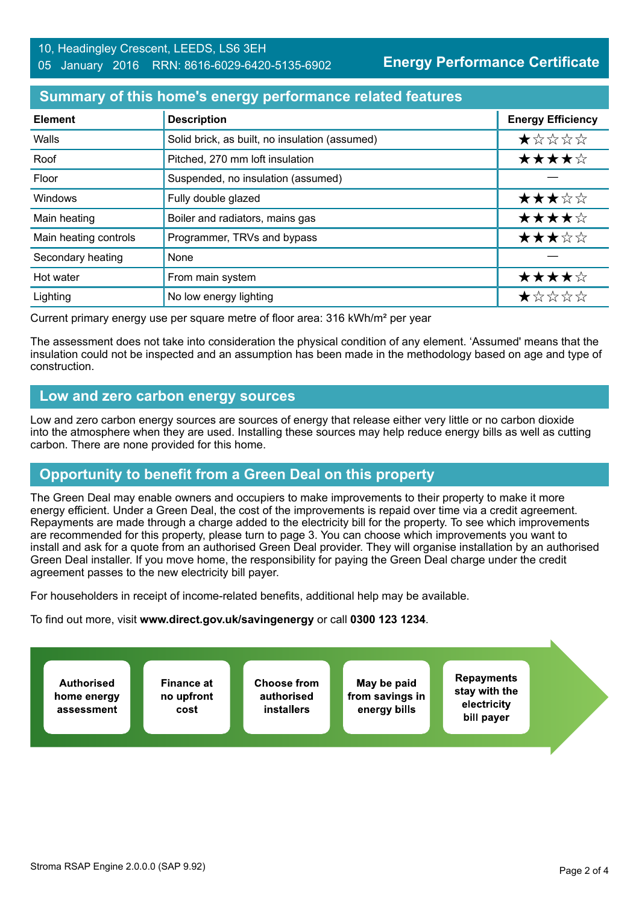## 10, Headingley Crescent, LEEDS, LS6 3EH 05 January 2016 RRN: 8616-6029-6420-5135-6902

**Energy Performance Certificate**

## **Summary of this home's energy performance related features**

| <b>Element</b>        | <b>Description</b>                             | <b>Energy Efficiency</b> |
|-----------------------|------------------------------------------------|--------------------------|
| Walls                 | Solid brick, as built, no insulation (assumed) | ★☆☆☆☆                    |
| Roof                  | Pitched, 270 mm loft insulation                | ★★★★☆                    |
| Floor                 | Suspended, no insulation (assumed)             |                          |
| Windows               | Fully double glazed                            | ★★★☆☆                    |
| Main heating          | Boiler and radiators, mains gas                | ★★★★☆                    |
| Main heating controls | Programmer, TRVs and bypass                    | ★★★☆☆                    |
| Secondary heating     | None                                           |                          |
| Hot water             | From main system                               | ★★★★☆                    |
| Lighting              | No low energy lighting                         | ★☆☆☆☆                    |

Current primary energy use per square metre of floor area: 316 kWh/m² per year

The assessment does not take into consideration the physical condition of any element. 'Assumed' means that the insulation could not be inspected and an assumption has been made in the methodology based on age and type of construction.

## **Low and zero carbon energy sources**

Low and zero carbon energy sources are sources of energy that release either very little or no carbon dioxide into the atmosphere when they are used. Installing these sources may help reduce energy bills as well as cutting carbon. There are none provided for this home.

# **Opportunity to benefit from a Green Deal on this property**

The Green Deal may enable owners and occupiers to make improvements to their property to make it more energy efficient. Under a Green Deal, the cost of the improvements is repaid over time via a credit agreement. Repayments are made through a charge added to the electricity bill for the property. To see which improvements are recommended for this property, please turn to page 3. You can choose which improvements you want to install and ask for a quote from an authorised Green Deal provider. They will organise installation by an authorised Green Deal installer. If you move home, the responsibility for paying the Green Deal charge under the credit agreement passes to the new electricity bill payer.

For householders in receipt of income-related benefits, additional help may be available.

To find out more, visit **www.direct.gov.uk/savingenergy** or call **0300 123 1234**.

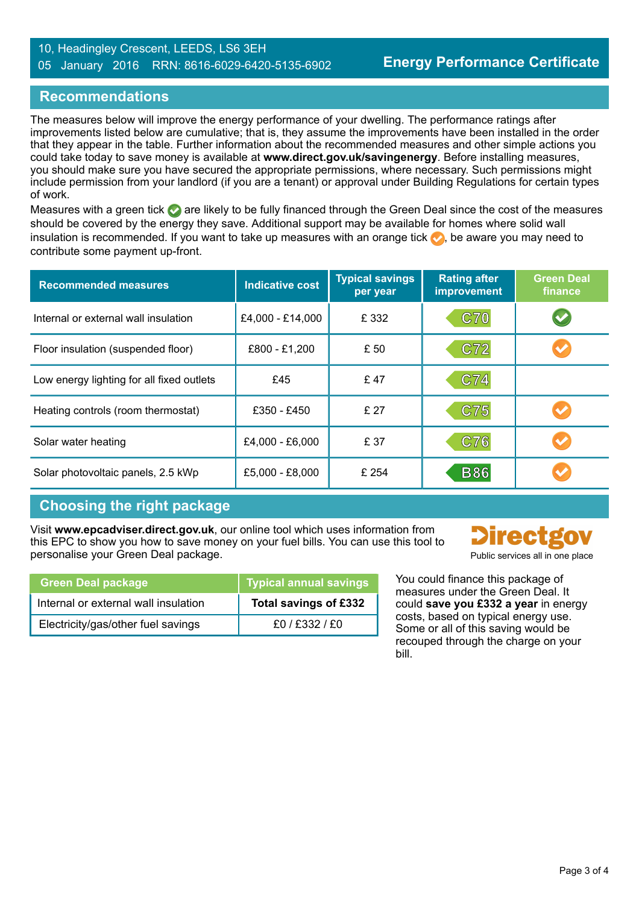## 10, Headingley Crescent, LEEDS, LS6 3EH 05 January 2016 RRN: 8616-6029-6420-5135-6902

## **Recommendations**

The measures below will improve the energy performance of your dwelling. The performance ratings after improvements listed below are cumulative; that is, they assume the improvements have been installed in the order that they appear in the table. Further information about the recommended measures and other simple actions you could take today to save money is available at **www.direct.gov.uk/savingenergy**. Before installing measures, you should make sure you have secured the appropriate permissions, where necessary. Such permissions might include permission from your landlord (if you are a tenant) or approval under Building Regulations for certain types of work.

Measures with a green tick  $\bullet$  are likely to be fully financed through the Green Deal since the cost of the measures should be covered by the energy they save. Additional support may be available for homes where solid wall insulation is recommended. If you want to take up measures with an orange tick  $\bullet$ , be aware you may need to contribute some payment up-front.

| <b>Recommended measures</b>               | Indicative cost  | <b>Typical savings</b><br>per year | <b>Rating after</b><br>improvement | <b>Green Deal</b><br>finance |
|-------------------------------------------|------------------|------------------------------------|------------------------------------|------------------------------|
| Internal or external wall insulation      | £4,000 - £14,000 | £ 332                              | <b>C70</b>                         |                              |
| Floor insulation (suspended floor)        | £800 - £1,200    | £ 50                               | C72                                |                              |
| Low energy lighting for all fixed outlets | £45              | £47                                | C74                                |                              |
| Heating controls (room thermostat)        | £350 - £450      | £ 27                               | C75                                |                              |
| Solar water heating                       | £4,000 - £6,000  | £ 37                               | C76                                |                              |
| Solar photovoltaic panels, 2.5 kWp        | £5,000 - £8,000  | £ 254                              | <b>B86</b>                         |                              |

# **Choosing the right package**

Visit **www.epcadviser.direct.gov.uk**, our online tool which uses information from this EPC to show you how to save money on your fuel bills. You can use this tool to personalise your Green Deal package. Public services all in one place of the public services all in one place

| <b>Green Deal package</b>            | Typical annual savings |  |
|--------------------------------------|------------------------|--|
| Internal or external wall insulation | Total savings of £332  |  |
| Electricity/gas/other fuel savings   | £0/£332/£0             |  |

You could finance this package of measures under the Green Deal. It could **save you £332 a year** in energy costs, based on typical energy use. Some or all of this saving would be recouped through the charge on your bill.